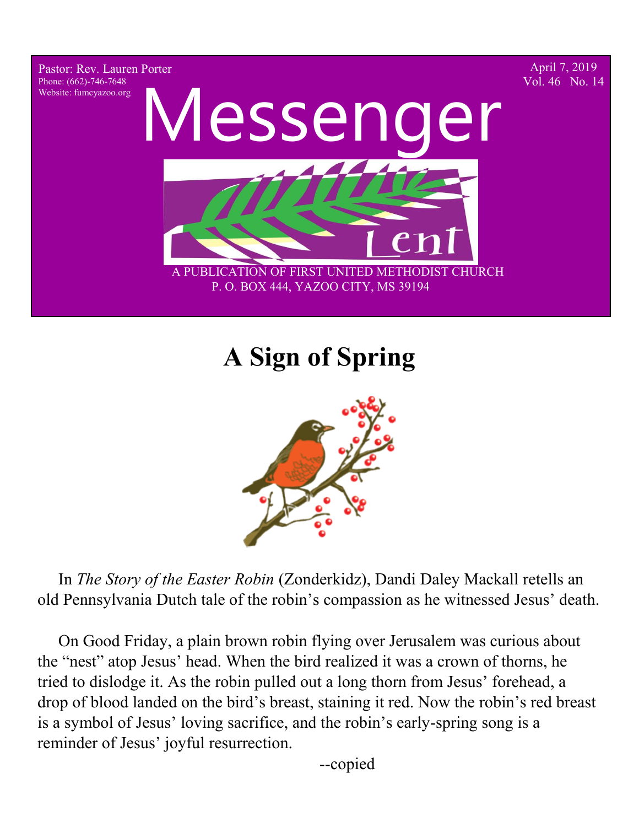Pastor: Rev. Lauren Porter Phone: (662)-746-7648 Website: fumcyazoo.org

April 7, 2019 Vol. 46 No. 14



P. O. BOX 444, YAZOO CITY, MS 39194

# **A Sign of Spring**



 In *The Story of the Easter Robin* (Zonderkidz), Dandi Daley Mackall retells an old Pennsylvania Dutch tale of the robin's compassion as he witnessed Jesus' death.

 On Good Friday, a plain brown robin flying over Jerusalem was curious about the "nest" atop Jesus' head. When the bird realized it was a crown of thorns, he tried to dislodge it. As the robin pulled out a long thorn from Jesus' forehead, a drop of blood landed on the bird's breast, staining it red. Now the robin's red breast is a symbol of Jesus' loving sacrifice, and the robin's early-spring song is a reminder of Jesus' joyful resurrection.

--copied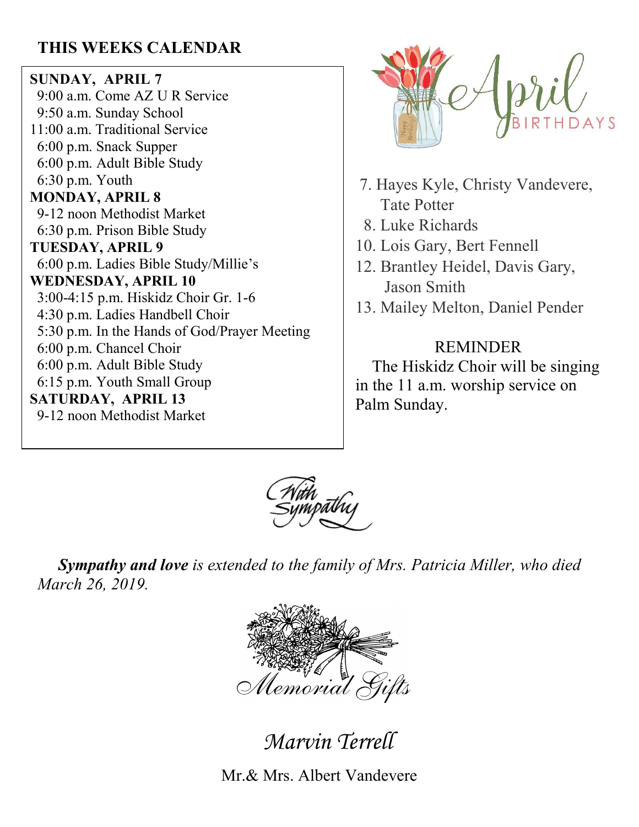## **THIS WEEKS CALENDAR**

**SUNDAY, APRIL 7** 9:00 a.m. Come AZ U R Service 9:50 a.m. Sunday School 11:00 a.m. Traditional Service 6:00 p.m. Snack Supper 6:00 p.m. Adult Bible Study 6:30 p.m. Youth **MONDAY, APRIL 8** 9-12 noon Methodist Market 6:30 p.m. Prison Bible Study **TUESDAY, APRIL 9** 6:00 p.m. Ladies Bible Study/Millie's **WEDNESDAY, APRIL 10** 3:00-4:15 p.m. Hiskidz Choir Gr. 1-6 4:30 p.m. Ladies Handbell Choir 5:30 p.m. In the Hands of God/Prayer Meeting 6:00 p.m. Chancel Choir 6:00 p.m. Adult Bible Study 6:15 p.m. Youth Small Group **SATURDAY, APRIL 13** 9-12 noon Methodist Market



- 7. Hayes Kyle, Christy Vandevere, Tate Potter
- 8. Luke Richards
- 10. Lois Gary, Bert Fennell
- 12. Brantley Heidel, Davis Gary, Jason Smith
- 13. Mailey Melton, Daniel Pender

#### REMINDER

 The Hiskidz Choir will be singing in the 11 a.m. worship service on Palm Sunday.



 *Sympathy and love is extended to the family of Mrs. Patricia Miller, who died March 26, 2019.*



Marvin Terrell

Mr.& Mrs. Albert Vandevere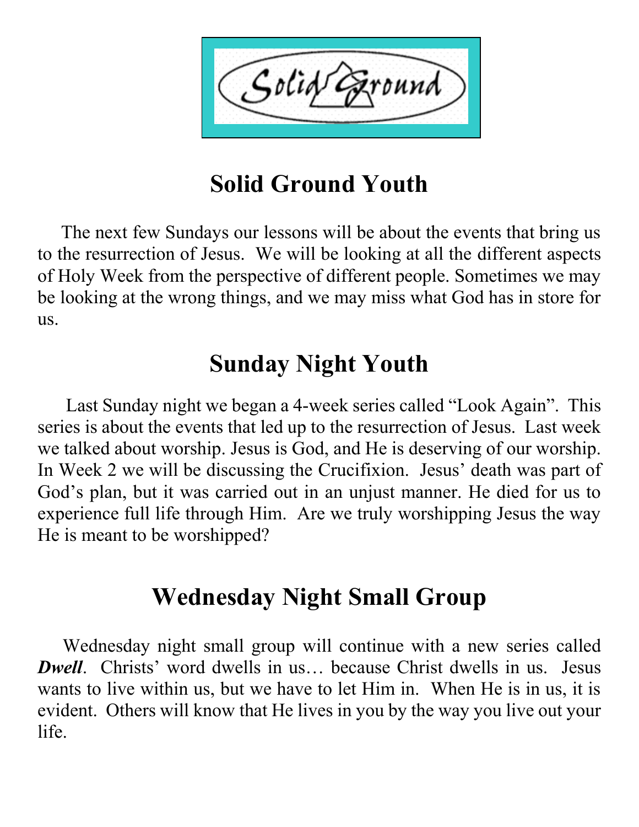$\zeta$ olid $\zeta$ `ound

# **Solid Ground Youth**

 The next few Sundays our lessons will be about the events that bring us to the resurrection of Jesus. We will be looking at all the different aspects of Holy Week from the perspective of different people. Sometimes we may be looking at the wrong things, and we may miss what God has in store for us.

# **Sunday Night Youth**

 Last Sunday night we began a 4-week series called "Look Again". This series is about the events that led up to the resurrection of Jesus. Last week we talked about worship. Jesus is God, and He is deserving of our worship. In Week 2 we will be discussing the Crucifixion. Jesus' death was part of God's plan, but it was carried out in an unjust manner. He died for us to experience full life through Him. Are we truly worshipping Jesus the way He is meant to be worshipped?

# **Wednesday Night Small Group**

 Wednesday night small group will continue with a new series called *Dwell.* Christs' word dwells in us... because Christ dwells in us. Jesus wants to live within us, but we have to let Him in. When He is in us, it is evident. Others will know that He lives in you by the way you live out your life.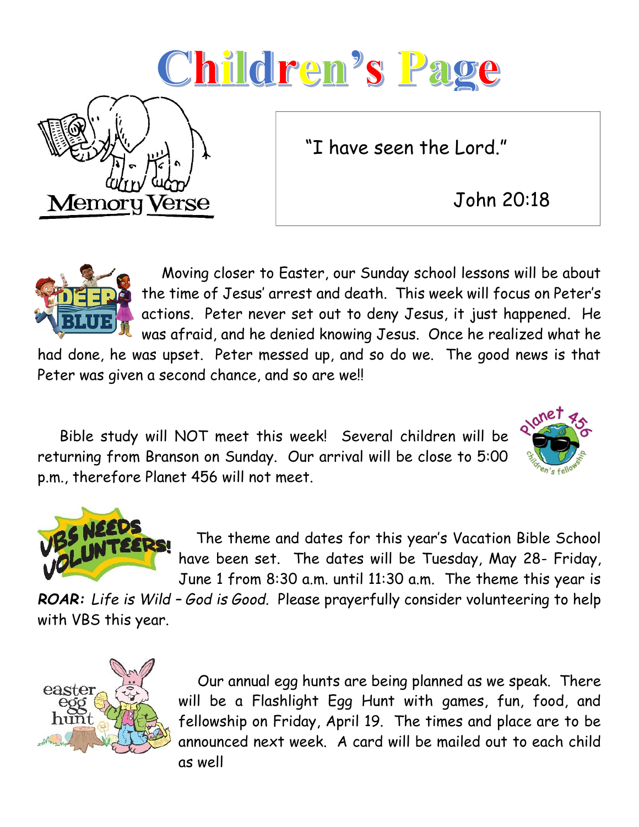# Children's Page

"I have seen the Lord."

John 20:18



Memoru

'erse

 Moving closer to Easter, our Sunday school lessons will be about the time of Jesus' arrest and death. This week will focus on Peter's actions. Peter never set out to deny Jesus, it just happened. He was afraid, and he denied knowing Jesus. Once he realized what he

had done, he was upset. Peter messed up, and so do we. The good news is that Peter was given a second chance, and so are we!!

 Bible study will NOT meet this week! Several children will be returning from Branson on Sunday. Our arrival will be close to 5:00 p.m., therefore Planet 456 will not meet.





 The theme and dates for this year's Vacation Bible School have been set. The dates will be Tuesday, May 28- Friday, June 1 from 8:30 a.m. until 11:30 a.m. The theme this year is

*ROAR: Life is Wild – God is Good.* Please prayerfully consider volunteering to help with VBS this year.



Our annual egg hunts are being planned as we speak. There will be a Flashlight Egg Hunt with games, fun, food, and fellowship on Friday, April 19. The times and place are to be announced next week. A card will be mailed out to each child as well